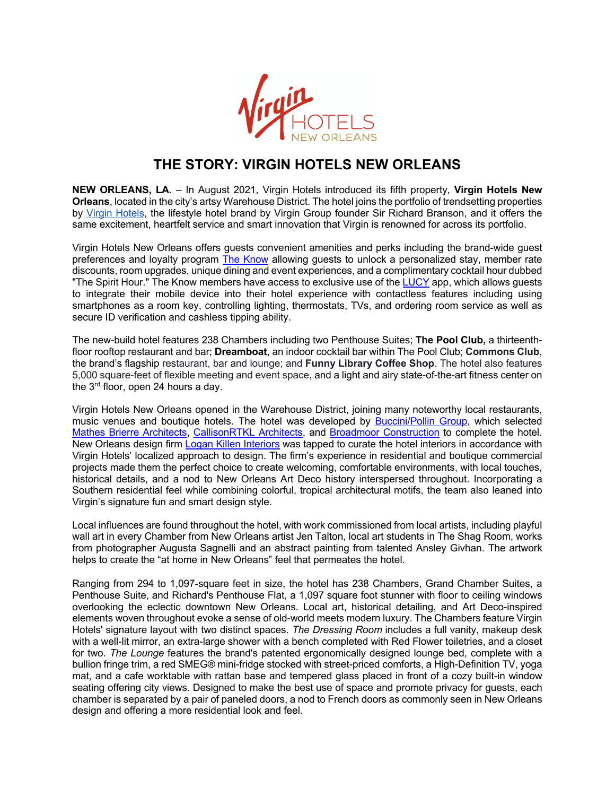

## **THE STORY: VIRGIN HOTELS NEW ORLEANS**

**NEW ORLEANS, LA.** – In August 2021, Virgin Hotels introduced its fifth property, **Virgin Hotels New Orleans**, located in the city's artsy Warehouse District. The hotel joins the portfolio of trendsetting properties by Virgin Hotels, the lifestyle hotel brand by Virgin Group founder Sir Richard Branson, and it offers the same excitement, heartfelt service and smart innovation that Virgin is renowned for across its portfolio.

Virgin Hotels New Orleans offers guests convenient amenities and perks including the brand-wide guest preferences and loyalty program The Know allowing guests to unlock a personalized stay, member rate discounts, room upgrades, unique dining and event experiences, and a complimentary cocktail hour dubbed "The Spirit Hour." The Know members have access to exclusive use of the LUCY app, which allows guests to integrate their mobile device into their hotel experience with contactless features including using smartphones as a room key, controlling lighting, thermostats, TVs, and ordering room service as well as secure ID verification and cashless tipping ability.

The new-build hotel features 238 Chambers including two Penthouse Suites; **The Pool Club,** a thirteenthfloor rooftop restaurant and bar; **Dreamboat**, an indoor cocktail bar within The Pool Club; **Commons Club**, the brand's flagship restaurant, bar and lounge; and **Funny Library Coffee Shop**. The hotel also features 5,000 square-feet of flexible meeting and event space, and a light and airy state-of-the-art fitness center on the 3<sup>rd</sup> floor, open 24 hours a day.

Virgin Hotels New Orleans opened in the Warehouse District, joining many noteworthy local restaurants, music venues and boutique hotels. The hotel was developed by Buccini/Pollin Group, which selected Mathes Brierre Architects, CallisonRTKL Architects, and Broadmoor Construction to complete the hotel. New Orleans design firm Logan Killen Interiors was tapped to curate the hotel interiors in accordance with Virgin Hotels' localized approach to design. The firm's experience in residential and boutique commercial projects made them the perfect choice to create welcoming, comfortable environments, with local touches, historical details, and a nod to New Orleans Art Deco history interspersed throughout. Incorporating a Southern residential feel while combining colorful, tropical architectural motifs, the team also leaned into Virgin's signature fun and smart design style.

Local influences are found throughout the hotel, with work commissioned from local artists, including playful wall art in every Chamber from New Orleans artist Jen Talton, local art students in The Shag Room, works from photographer Augusta Sagnelli and an abstract painting from talented Ansley Givhan. The artwork helps to create the "at home in New Orleans" feel that permeates the hotel.

Ranging from 294 to 1,097-square feet in size, the hotel has 238 Chambers, Grand Chamber Suites, a Penthouse Suite, and Richard's Penthouse Flat, a 1,097 square foot stunner with floor to ceiling windows overlooking the eclectic downtown New Orleans. Local art, historical detailing, and Art Deco-inspired elements woven throughout evoke a sense of old-world meets modern luxury. The Chambers feature Virgin Hotels' signature layout with two distinct spaces. *The Dressing Room* includes a full vanity, makeup desk with a well-lit mirror, an extra-large shower with a bench completed with Red Flower toiletries, and a closet for two. *The Lounge* features the brand's patented ergonomically designed lounge bed, complete with a bullion fringe trim, a red SMEG® mini-fridge stocked with street-priced comforts, a High-Definition TV, yoga mat, and a cafe worktable with rattan base and tempered glass placed in front of a cozy built-in window seating offering city views. Designed to make the best use of space and promote privacy for quests, each chamber is separated by a pair of paneled doors, a nod to French doors as commonly seen in New Orleans design and offering a more residential look and feel.